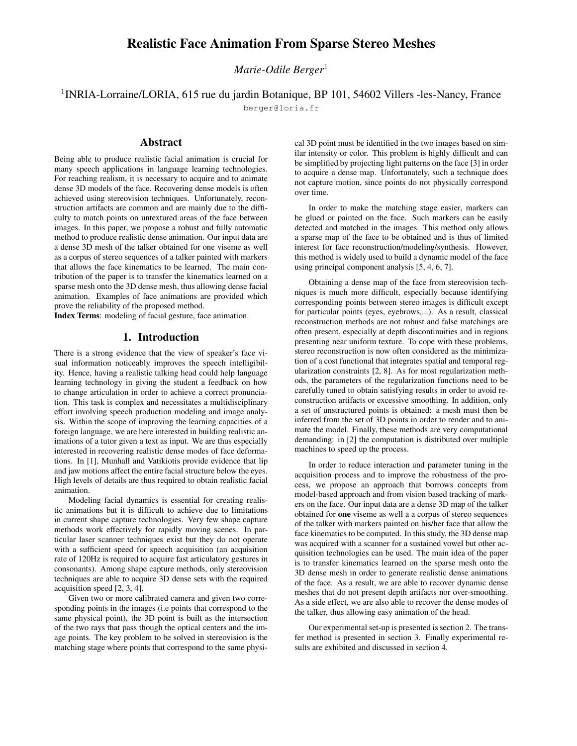# **Realistic Face Animation From Sparse Stereo Meshes**

*Marie-Odile Berger*<sup>1</sup>

# <sup>1</sup>INRIA-Lorraine/LORIA, 615 rue du jardin Botanique, BP 101, 54602 Villers -les-Nancy, France

berger@loria.fr

## **Abstract**

Being able to produce realistic facial animation is crucial for many speech applications in language learning technologies. For reaching realism, it is necessary to acquire and to animate dense 3D models of the face. Recovering dense models is often achieved using stereovision techniques. Unfortunately, reconstruction artifacts are common and are mainly due to the difficulty to match points on untextured areas of the face between images. In this paper, we propose a robust and fully automatic method to produce realistic dense animation. Our input data are a dense 3D mesh of the talker obtained for one viseme as well as a corpus of stereo sequences of a talker painted with markers that allows the face kinematics to be learned. The main contribution of the paper is to transfer the kinematics learned on a sparse mesh onto the 3D dense mesh, thus allowing dense facial animation. Examples of face animations are provided which prove the reliability of the proposed method.

**Index Terms**: modeling of facial gesture, face animation.

### **1. Introduction**

There is a strong evidence that the view of speaker's face visual information noticeably improves the speech intelligibility. Hence, having a realistic talking head could help language learning technology in giving the student a feedback on how to change articulation in order to achieve a correct pronunciation. This task is complex and necessitates a multidisciplinary effort involving speech production modeling and image analysis. Within the scope of improving the learning capacities of a foreign language, we are here interested in building realistic animations of a tutor given a text as input. We are thus especially interested in recovering realistic dense modes of face deformations. In [1], Munhall and Vatikiotis provide evidence that lip and jaw motions affect the entire facial structure below the eyes. High levels of details are thus required to obtain realistic facial animation.

Modeling facial dynamics is essential for creating realistic animations but it is difficult to achieve due to limitations in current shape capture technologies. Very few shape capture methods work effectively for rapidly moving scenes. In particular laser scanner techniques exist but they do not operate with a sufficient speed for speech acquisition (an acquisition rate of 120Hz is required to acquire fast articulatory gestures in consonants). Among shape capture methods, only stereovision techniques are able to acquire 3D dense sets with the required acquisition speed [2, 3, 4].

Given two or more calibrated camera and given two corresponding points in the images (i.e points that correspond to the same physical point), the 3D point is built as the intersection of the two rays that pass though the optical centers and the image points. The key problem to be solved in stereovision is the matching stage where points that correspond to the same physical 3D point must be identified in the two images based on similar intensity or color. This problem is highly difficult and can be simplified by projecting light patterns on the face [3] in order to acquire a dense map. Unfortunately, such a technique does not capture motion, since points do not physically correspond over time.

In order to make the matching stage easier, markers can be glued or painted on the face. Such markers can be easily detected and matched in the images. This method only allows a sparse map of the face to be obtained and is thus of limited interest for face reconstruction/modeling/synthesis. However, this method is widely used to build a dynamic model of the face using principal component analysis [5, 4, 6, 7].

Obtaining a dense map of the face from stereovision techniques is much more difficult, especially because identifying corresponding points between stereo images is difficult except for particular points (eyes, eyebrows,...). As a result, classical reconstruction methods are not robust and false matchings are often present, especially at depth discontinuities and in regions presenting near uniform texture. To cope with these problems, stereo reconstruction is now often considered as the minimization of a cost functional that integrates spatial and temporal regularization constraints [2, 8]. As for most regularization methods, the parameters of the regularization functions need to be carefully tuned to obtain satisfying results in order to avoid reconstruction artifacts or excessive smoothing. In addition, only a set of unstructured points is obtained: a mesh must then be inferred from the set of 3D points in order to render and to animate the model. Finally, these methods are very computational demanding: in [2] the computation is distributed over multiple machines to speed up the process.

In order to reduce interaction and parameter tuning in the acquisition process and to improve the robustness of the process, we propose an approach that borrows concepts from model-based approach and from vision based tracking of markers on the face. Our input data are a dense 3D map of the talker obtained for **one** viseme as well a a corpus of stereo sequences of the talker with markers painted on his/her face that allow the face kinematics to be computed. In this study, the 3D dense map was acquired with a scanner for a sustained vowel but other acquisition technologies can be used. The main idea of the paper is to transfer kinematics learned on the sparse mesh onto the 3D dense mesh in order to generate realistic dense animations of the face. As a result, we are able to recover dynamic dense meshes that do not present depth artifacts nor over-smoothing. As a side effect, we are also able to recover the dense modes of the talker, thus allowing easy animation of the head.

Our experimental set-up is presented is section 2. The transfer method is presented in section 3. Finally experimental results are exhibited and discussed in section 4.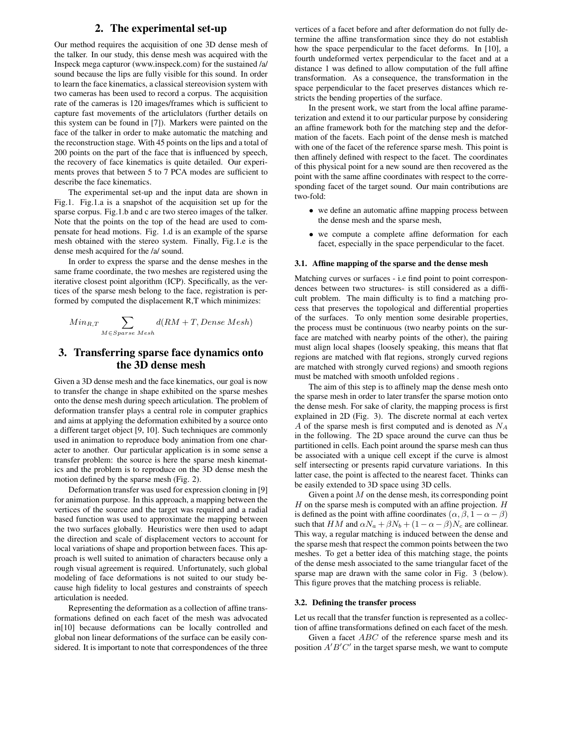## **2. The experimental set-up**

Our method requires the acquisition of one 3D dense mesh of the talker. In our study, this dense mesh was acquired with the Inspeck mega capturor (www.inspeck.com) for the sustained /a/ sound because the lips are fully visible for this sound. In order to learn the face kinematics, a classical stereovision system with two cameras has been used to record a corpus. The acquisition rate of the cameras is 120 images/frames which is sufficient to capture fast movements of the articlulators (further details on this system can be found in [7]). Markers were painted on the face of the talker in order to make automatic the matching and the reconstruction stage. With 45 points on the lips and a total of 200 points on the part of the face that is influenced by speech, the recovery of face kinematics is quite detailed. Our experiments proves that between 5 to 7 PCA modes are sufficient to describe the face kinematics.

The experimental set-up and the input data are shown in Fig.1. Fig.1.a is a snapshot of the acquisition set up for the sparse corpus. Fig.1.b and c are two stereo images of the talker. Note that the points on the top of the head are used to compensate for head motions. Fig. 1.d is an example of the sparse mesh obtained with the stereo system. Finally, Fig.1.e is the dense mesh acquired for the /a/ sound.

In order to express the sparse and the dense meshes in the same frame coordinate, the two meshes are registered using the iterative closest point algorithm (ICP). Specifically, as the vertices of the sparse mesh belong to the face, registration is performed by computed the displacement R,T which minimizes:

$$
Min_{R,T} \sum_{M \in Sparse\ Mesh} d(RM + T, Dense\ Mesh)
$$

## **3. Transferring sparse face dynamics onto the 3D dense mesh**

Given a 3D dense mesh and the face kinematics, our goal is now to transfer the change in shape exhibited on the sparse meshes onto the dense mesh during speech articulation. The problem of deformation transfer plays a central role in computer graphics and aims at applying the deformation exhibited by a source onto a different target object [9, 10]. Such techniques are commonly used in animation to reproduce body animation from one character to another. Our particular application is in some sense a transfer problem: the source is here the sparse mesh kinematics and the problem is to reproduce on the 3D dense mesh the motion defined by the sparse mesh (Fig. 2).

Deformation transfer was used for expression cloning in [9] for animation purpose. In this approach, a mapping between the vertices of the source and the target was required and a radial based function was used to approximate the mapping between the two surfaces globally. Heuristics were then used to adapt the direction and scale of displacement vectors to account for local variations of shape and proportion between faces. This approach is well suited to animation of characters because only a rough visual agreement is required. Unfortunately, such global modeling of face deformations is not suited to our study because high fidelity to local gestures and constraints of speech articulation is needed.

Representing the deformation as a collection of affine transformations defined on each facet of the mesh was advocated in[10] because deformations can be locally controlled and global non linear deformations of the surface can be easily considered. It is important to note that correspondences of the three vertices of a facet before and after deformation do not fully determine the affine transformation since they do not establish how the space perpendicular to the facet deforms. In [10], a fourth undeformed vertex perpendicular to the facet and at a distance 1 was defined to allow computation of the full affine transformation. As a consequence, the transformation in the space perpendicular to the facet preserves distances which restricts the bending properties of the surface.

In the present work, we start from the local affine parameterization and extend it to our particular purpose by considering an affine framework both for the matching step and the deformation of the facets. Each point of the dense mesh is matched with one of the facet of the reference sparse mesh. This point is then affinely defined with respect to the facet. The coordinates of this physical point for a new sound are then recovered as the point with the same affine coordinates with respect to the corresponding facet of the target sound. Our main contributions are two-fold:

- we define an automatic affine mapping process between the dense mesh and the sparse mesh,
- we compute a complete affine deformation for each facet, especially in the space perpendicular to the facet.

#### **3.1. Affine mapping of the sparse and the dense mesh**

Matching curves or surfaces - i.e find point to point correspondences between two structures- is still considered as a difficult problem. The main difficulty is to find a matching process that preserves the topological and differential properties of the surfaces. To only mention some desirable properties, the process must be continuous (two nearby points on the surface are matched with nearby points of the other), the pairing must align local shapes (loosely speaking, this means that flat regions are matched with flat regions, strongly curved regions are matched with strongly curved regions) and smooth regions must be matched with smooth unfolded regions .

The aim of this step is to affinely map the dense mesh onto the sparse mesh in order to later transfer the sparse motion onto the dense mesh. For sake of clarity, the mapping process is first explained in 2D (Fig. 3). The discrete normal at each vertex  $A$  of the sparse mesh is first computed and is denoted as  $N_A$ in the following. The 2D space around the curve can thus be partitioned in cells. Each point around the sparse mesh can thus be associated with a unique cell except if the curve is almost self intersecting or presents rapid curvature variations. In this latter case, the point is affected to the nearest facet. Thinks can be easily extended to 3D space using 3D cells.

Given a point  $M$  on the dense mesh, its corresponding point  $H$  on the sparse mesh is computed with an affine projection.  $H$ is defined as the point with affine coordinates  $(\alpha, \beta, 1 - \alpha - \beta)$ such that HM and  $\alpha N_a + \beta N_b + (1 - \alpha - \beta)N_c$  are collinear. This way, a regular matching is induced between the dense and the sparse mesh that respect the common points between the two meshes. To get a better idea of this matching stage, the points of the dense mesh associated to the same triangular facet of the sparse map are drawn with the same color in Fig. 3 (below). This figure proves that the matching process is reliable.

#### **3.2. Defining the transfer process**

Let us recall that the transfer function is represented as a collection of affine transformations defined on each facet of the mesh.

Given a facet *ABC* of the reference sparse mesh and its position  $A'B'C'$  in the target sparse mesh, we want to compute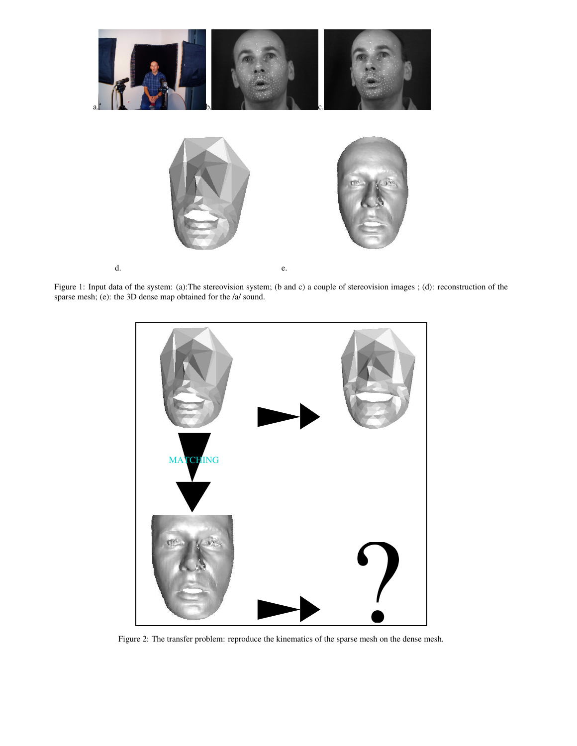

Figure 1: Input data of the system: (a):The stereovision system; (b and c) a couple of stereovision images ; (d): reconstruction of the sparse mesh; (e): the 3D dense map obtained for the /a/ sound.



Figure 2: The transfer problem: reproduce the kinematics of the sparse mesh on the dense mesh.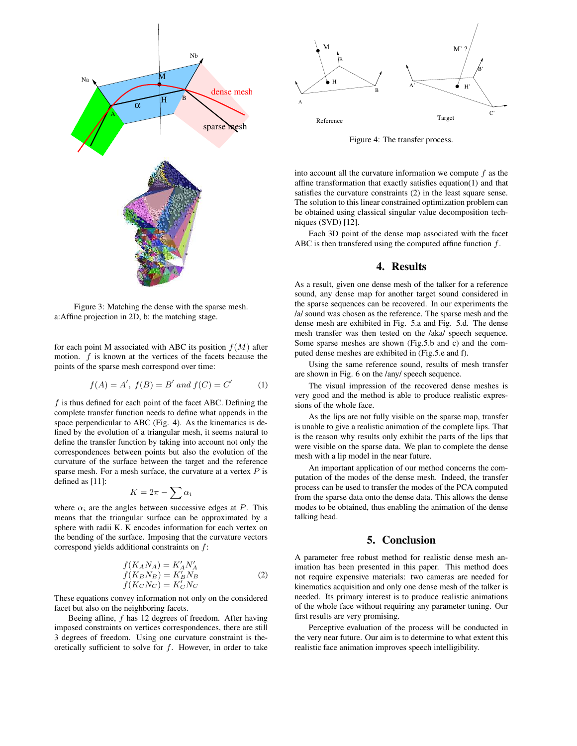

Figure 3: Matching the dense with the sparse mesh. a:Affine projection in 2D, b: the matching stage.

for each point M associated with ABC its position  $f(M)$  after motion.  $f$  is known at the vertices of the facets because the points of the sparse mesh correspond over time:

$$
f(A) = A', f(B) = B' \text{ and } f(C) = C' \tag{1}
$$

 $f$  is thus defined for each point of the facet ABC. Defining the complete transfer function needs to define what appends in the space perpendicular to ABC (Fig. 4). As the kinematics is defined by the evolution of a triangular mesh, it seems natural to define the transfer function by taking into account not only the correspondences between points but also the evolution of the curvature of the surface between the target and the reference sparse mesh. For a mesh surface, the curvature at a vertex  $P$  is defined as [11]:

$$
K=2\pi-\sum\alpha_i
$$

where  $\alpha_i$  are the angles between successive edges at P. This means that the triangular surface can be approximated by a sphere with radii K. K encodes information for each vertex on the bending of the surface. Imposing that the curvature vectors correspond yields additional constraints on f:

$$
f(K_A N_A) = K'_A N'_A
$$
  
\n
$$
f(K_B N_B) = K'_B N_B
$$
  
\n
$$
f(K_C N_C) = K'_C N_C
$$
\n(2)

These equations convey information not only on the considered facet but also on the neighboring facets.

Beeing affine, f has 12 degrees of freedom. After having imposed constraints on vertices correspondences, there are still 3 degrees of freedom. Using one curvature constraint is theoretically sufficient to solve for  $f$ . However, in order to take



Figure 4: The transfer process.

into account all the curvature information we compute  $f$  as the affine transformation that exactly satisfies equation(1) and that satisfies the curvature constraints (2) in the least square sense. The solution to this linear constrained optimization problem can be obtained using classical singular value decomposition techniques (SVD) [12].

Each 3D point of the dense map associated with the facet ABC is then transferred using the computed affine function  $f$ .

## **4. Results**

As a result, given one dense mesh of the talker for a reference sound, any dense map for another target sound considered in the sparse sequences can be recovered. In our experiments the /a/ sound was chosen as the reference. The sparse mesh and the dense mesh are exhibited in Fig. 5.a and Fig. 5.d. The dense mesh transfer was then tested on the /aka/ speech sequence. Some sparse meshes are shown (Fig.5.b and c) and the computed dense meshes are exhibited in (Fig.5.e and f).

Using the same reference sound, results of mesh transfer are shown in Fig. 6 on the /any/ speech sequence.

The visual impression of the recovered dense meshes is very good and the method is able to produce realistic expressions of the whole face.

As the lips are not fully visible on the sparse map, transfer is unable to give a realistic animation of the complete lips. That is the reason why results only exhibit the parts of the lips that were visible on the sparse data. We plan to complete the dense mesh with a lip model in the near future.

An important application of our method concerns the computation of the modes of the dense mesh. Indeed, the transfer process can be used to transfer the modes of the PCA computed from the sparse data onto the dense data. This allows the dense modes to be obtained, thus enabling the animation of the dense talking head.

## **5. Conclusion**

A parameter free robust method for realistic dense mesh animation has been presented in this paper. This method does not require expensive materials: two cameras are needed for kinematics acquisition and only one dense mesh of the talker is needed. Its primary interest is to produce realistic animations of the whole face without requiring any parameter tuning. Our first results are very promising.

Perceptive evaluation of the process will be conducted in the very near future. Our aim is to determine to what extent this realistic face animation improves speech intelligibility.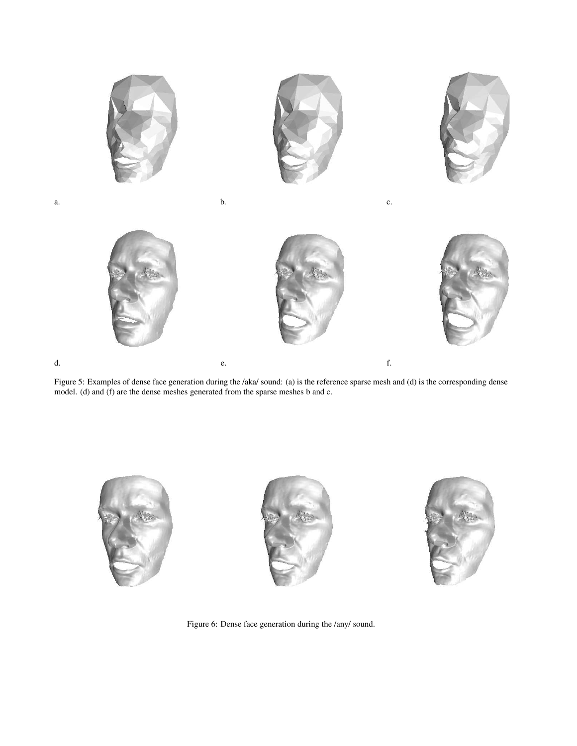

Figure 5: Examples of dense face generation during the /aka/ sound: (a) is the reference sparse mesh and (d) is the corresponding dense model. (d) and (f) are the dense meshes generated from the sparse meshes b and c.



Figure 6: Dense face generation during the /any/ sound.